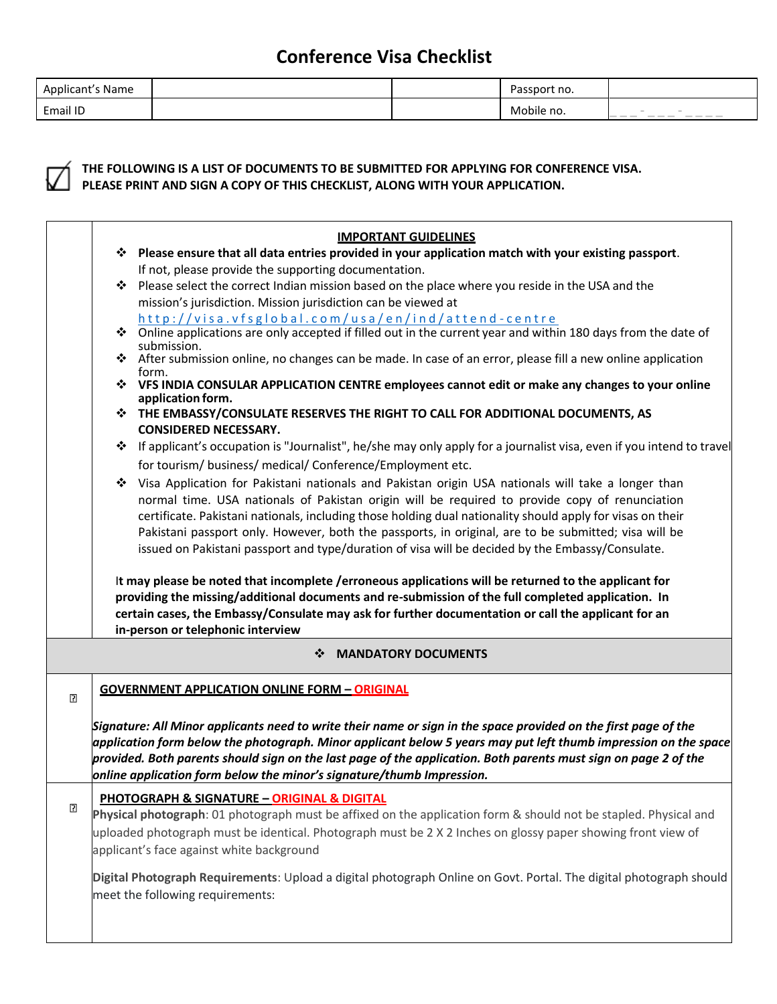| Applicant's<br>'s Name |  | passport no. |                                                                                                                                                                                                                                                                                                                                                                                                                                                                                                                                          |
|------------------------|--|--------------|------------------------------------------------------------------------------------------------------------------------------------------------------------------------------------------------------------------------------------------------------------------------------------------------------------------------------------------------------------------------------------------------------------------------------------------------------------------------------------------------------------------------------------------|
| <b>Email ID</b>        |  | Mobile no.   | $\sim$<br>$\qquad \qquad \overline{\qquad \qquad }$<br>$\frac{1}{2} \left( \frac{1}{2} \right) \left( \frac{1}{2} \right) \left( \frac{1}{2} \right) \left( \frac{1}{2} \right) \left( \frac{1}{2} \right) \left( \frac{1}{2} \right) \left( \frac{1}{2} \right) \left( \frac{1}{2} \right) \left( \frac{1}{2} \right) \left( \frac{1}{2} \right) \left( \frac{1}{2} \right) \left( \frac{1}{2} \right) \left( \frac{1}{2} \right) \left( \frac{1}{2} \right) \left( \frac{1}{2} \right) \left( \frac{1}{2} \right) \left( \frac$<br>--- |



#### **THE FOLLOWING IS A LIST OF DOCUMENTS TO BE SUBMITTED FOR APPLYING FOR CONFERENCE VISA. PLEASE PRINT AND SIGN A COPY OF THIS CHECKLIST, ALONG WITH YOUR APPLICATION.**

|                                                                                                                                                                                                                                                                                                                   | <b>IMPORTANT GUIDELINES</b>                                                                                                                                                                                                                                                                                                                                                                                              |                                                                                                                                                                                                                                                                                                                                                                                                                                                                                                                                                                                                                                                                                                                                                                                                                                                                                                                                                                                                                                                                                                                                                                                                                                                                                                                                                                                                                                                                                                                                                                                                                                                                                                                                                                                                                                                                                                                                                                                                                                  |  |  |
|-------------------------------------------------------------------------------------------------------------------------------------------------------------------------------------------------------------------------------------------------------------------------------------------------------------------|--------------------------------------------------------------------------------------------------------------------------------------------------------------------------------------------------------------------------------------------------------------------------------------------------------------------------------------------------------------------------------------------------------------------------|----------------------------------------------------------------------------------------------------------------------------------------------------------------------------------------------------------------------------------------------------------------------------------------------------------------------------------------------------------------------------------------------------------------------------------------------------------------------------------------------------------------------------------------------------------------------------------------------------------------------------------------------------------------------------------------------------------------------------------------------------------------------------------------------------------------------------------------------------------------------------------------------------------------------------------------------------------------------------------------------------------------------------------------------------------------------------------------------------------------------------------------------------------------------------------------------------------------------------------------------------------------------------------------------------------------------------------------------------------------------------------------------------------------------------------------------------------------------------------------------------------------------------------------------------------------------------------------------------------------------------------------------------------------------------------------------------------------------------------------------------------------------------------------------------------------------------------------------------------------------------------------------------------------------------------------------------------------------------------------------------------------------------------|--|--|
|                                                                                                                                                                                                                                                                                                                   |                                                                                                                                                                                                                                                                                                                                                                                                                          |                                                                                                                                                                                                                                                                                                                                                                                                                                                                                                                                                                                                                                                                                                                                                                                                                                                                                                                                                                                                                                                                                                                                                                                                                                                                                                                                                                                                                                                                                                                                                                                                                                                                                                                                                                                                                                                                                                                                                                                                                                  |  |  |
|                                                                                                                                                                                                                                                                                                                   | If not, please provide the supporting documentation.                                                                                                                                                                                                                                                                                                                                                                     |                                                                                                                                                                                                                                                                                                                                                                                                                                                                                                                                                                                                                                                                                                                                                                                                                                                                                                                                                                                                                                                                                                                                                                                                                                                                                                                                                                                                                                                                                                                                                                                                                                                                                                                                                                                                                                                                                                                                                                                                                                  |  |  |
| ❖                                                                                                                                                                                                                                                                                                                 |                                                                                                                                                                                                                                                                                                                                                                                                                          |                                                                                                                                                                                                                                                                                                                                                                                                                                                                                                                                                                                                                                                                                                                                                                                                                                                                                                                                                                                                                                                                                                                                                                                                                                                                                                                                                                                                                                                                                                                                                                                                                                                                                                                                                                                                                                                                                                                                                                                                                                  |  |  |
|                                                                                                                                                                                                                                                                                                                   |                                                                                                                                                                                                                                                                                                                                                                                                                          |                                                                                                                                                                                                                                                                                                                                                                                                                                                                                                                                                                                                                                                                                                                                                                                                                                                                                                                                                                                                                                                                                                                                                                                                                                                                                                                                                                                                                                                                                                                                                                                                                                                                                                                                                                                                                                                                                                                                                                                                                                  |  |  |
|                                                                                                                                                                                                                                                                                                                   |                                                                                                                                                                                                                                                                                                                                                                                                                          |                                                                                                                                                                                                                                                                                                                                                                                                                                                                                                                                                                                                                                                                                                                                                                                                                                                                                                                                                                                                                                                                                                                                                                                                                                                                                                                                                                                                                                                                                                                                                                                                                                                                                                                                                                                                                                                                                                                                                                                                                                  |  |  |
|                                                                                                                                                                                                                                                                                                                   | form.                                                                                                                                                                                                                                                                                                                                                                                                                    |                                                                                                                                                                                                                                                                                                                                                                                                                                                                                                                                                                                                                                                                                                                                                                                                                                                                                                                                                                                                                                                                                                                                                                                                                                                                                                                                                                                                                                                                                                                                                                                                                                                                                                                                                                                                                                                                                                                                                                                                                                  |  |  |
|                                                                                                                                                                                                                                                                                                                   | application form.                                                                                                                                                                                                                                                                                                                                                                                                        |                                                                                                                                                                                                                                                                                                                                                                                                                                                                                                                                                                                                                                                                                                                                                                                                                                                                                                                                                                                                                                                                                                                                                                                                                                                                                                                                                                                                                                                                                                                                                                                                                                                                                                                                                                                                                                                                                                                                                                                                                                  |  |  |
|                                                                                                                                                                                                                                                                                                                   | <b>CONSIDERED NECESSARY.</b>                                                                                                                                                                                                                                                                                                                                                                                             |                                                                                                                                                                                                                                                                                                                                                                                                                                                                                                                                                                                                                                                                                                                                                                                                                                                                                                                                                                                                                                                                                                                                                                                                                                                                                                                                                                                                                                                                                                                                                                                                                                                                                                                                                                                                                                                                                                                                                                                                                                  |  |  |
|                                                                                                                                                                                                                                                                                                                   |                                                                                                                                                                                                                                                                                                                                                                                                                          |                                                                                                                                                                                                                                                                                                                                                                                                                                                                                                                                                                                                                                                                                                                                                                                                                                                                                                                                                                                                                                                                                                                                                                                                                                                                                                                                                                                                                                                                                                                                                                                                                                                                                                                                                                                                                                                                                                                                                                                                                                  |  |  |
|                                                                                                                                                                                                                                                                                                                   | for tourism/ business/ medical/ Conference/Employment etc.                                                                                                                                                                                                                                                                                                                                                               |                                                                                                                                                                                                                                                                                                                                                                                                                                                                                                                                                                                                                                                                                                                                                                                                                                                                                                                                                                                                                                                                                                                                                                                                                                                                                                                                                                                                                                                                                                                                                                                                                                                                                                                                                                                                                                                                                                                                                                                                                                  |  |  |
| ❖                                                                                                                                                                                                                                                                                                                 | normal time. USA nationals of Pakistan origin will be required to provide copy of renunciation<br>certificate. Pakistani nationals, including those holding dual nationality should apply for visas on their<br>Pakistani passport only. However, both the passports, in original, are to be submitted; visa will be<br>issued on Pakistani passport and type/duration of visa will be decided by the Embassy/Consulate. |                                                                                                                                                                                                                                                                                                                                                                                                                                                                                                                                                                                                                                                                                                                                                                                                                                                                                                                                                                                                                                                                                                                                                                                                                                                                                                                                                                                                                                                                                                                                                                                                                                                                                                                                                                                                                                                                                                                                                                                                                                  |  |  |
| It may please be noted that incomplete /erroneous applications will be returned to the applicant for<br>providing the missing/additional documents and re-submission of the full completed application. In<br>certain cases, the Embassy/Consulate may ask for further documentation or call the applicant for an |                                                                                                                                                                                                                                                                                                                                                                                                                          |                                                                                                                                                                                                                                                                                                                                                                                                                                                                                                                                                                                                                                                                                                                                                                                                                                                                                                                                                                                                                                                                                                                                                                                                                                                                                                                                                                                                                                                                                                                                                                                                                                                                                                                                                                                                                                                                                                                                                                                                                                  |  |  |
|                                                                                                                                                                                                                                                                                                                   | <b>MANDATORY DOCUMENTS</b><br>❖                                                                                                                                                                                                                                                                                                                                                                                          |                                                                                                                                                                                                                                                                                                                                                                                                                                                                                                                                                                                                                                                                                                                                                                                                                                                                                                                                                                                                                                                                                                                                                                                                                                                                                                                                                                                                                                                                                                                                                                                                                                                                                                                                                                                                                                                                                                                                                                                                                                  |  |  |
|                                                                                                                                                                                                                                                                                                                   |                                                                                                                                                                                                                                                                                                                                                                                                                          |                                                                                                                                                                                                                                                                                                                                                                                                                                                                                                                                                                                                                                                                                                                                                                                                                                                                                                                                                                                                                                                                                                                                                                                                                                                                                                                                                                                                                                                                                                                                                                                                                                                                                                                                                                                                                                                                                                                                                                                                                                  |  |  |
|                                                                                                                                                                                                                                                                                                                   |                                                                                                                                                                                                                                                                                                                                                                                                                          |                                                                                                                                                                                                                                                                                                                                                                                                                                                                                                                                                                                                                                                                                                                                                                                                                                                                                                                                                                                                                                                                                                                                                                                                                                                                                                                                                                                                                                                                                                                                                                                                                                                                                                                                                                                                                                                                                                                                                                                                                                  |  |  |
|                                                                                                                                                                                                                                                                                                                   |                                                                                                                                                                                                                                                                                                                                                                                                                          |                                                                                                                                                                                                                                                                                                                                                                                                                                                                                                                                                                                                                                                                                                                                                                                                                                                                                                                                                                                                                                                                                                                                                                                                                                                                                                                                                                                                                                                                                                                                                                                                                                                                                                                                                                                                                                                                                                                                                                                                                                  |  |  |
|                                                                                                                                                                                                                                                                                                                   |                                                                                                                                                                                                                                                                                                                                                                                                                          |                                                                                                                                                                                                                                                                                                                                                                                                                                                                                                                                                                                                                                                                                                                                                                                                                                                                                                                                                                                                                                                                                                                                                                                                                                                                                                                                                                                                                                                                                                                                                                                                                                                                                                                                                                                                                                                                                                                                                                                                                                  |  |  |
|                                                                                                                                                                                                                                                                                                                   |                                                                                                                                                                                                                                                                                                                                                                                                                          | ❖ Please ensure that all data entries provided in your application match with your existing passport.<br>Please select the correct Indian mission based on the place where you reside in the USA and the<br>mission's jurisdiction. Mission jurisdiction can be viewed at<br>http://visa.vfsglobal.com/usa/en/ind/attend-centre<br>❖ Online applications are only accepted if filled out in the current year and within 180 days from the date of<br>submission.<br>❖ After submission online, no changes can be made. In case of an error, please fill a new online application<br>❖ VFS INDIA CONSULAR APPLICATION CENTRE employees cannot edit or make any changes to your online<br>❖ THE EMBASSY/CONSULATE RESERVES THE RIGHT TO CALL FOR ADDITIONAL DOCUMENTS, AS<br>* If applicant's occupation is "Journalist", he/she may only apply for a journalist visa, even if you intend to travel<br>Visa Application for Pakistani nationals and Pakistan origin USA nationals will take a longer than<br>in-person or telephonic interview<br><b>GOVERNMENT APPLICATION ONLINE FORM - ORIGINAL</b><br>Signature: All Minor applicants need to write their name or sign in the space provided on the first page of the<br>application form below the photograph. Minor applicant below 5 years may put left thumb impression on the space<br>provided. Both parents should sign on the last page of the application. Both parents must sign on page 2 of the<br>online application form below the minor's signature/thumb Impression.<br>PHOTOGRAPH & SIGNATURE - ORIGINAL & DIGITAL<br>Physical photograph: 01 photograph must be affixed on the application form & should not be stapled. Physical and<br>uploaded photograph must be identical. Photograph must be 2 X 2 Inches on glossy paper showing front view of<br>applicant's face against white background<br>Digital Photograph Requirements: Upload a digital photograph Online on Govt. Portal. The digital photograph should<br>meet the following requirements: |  |  |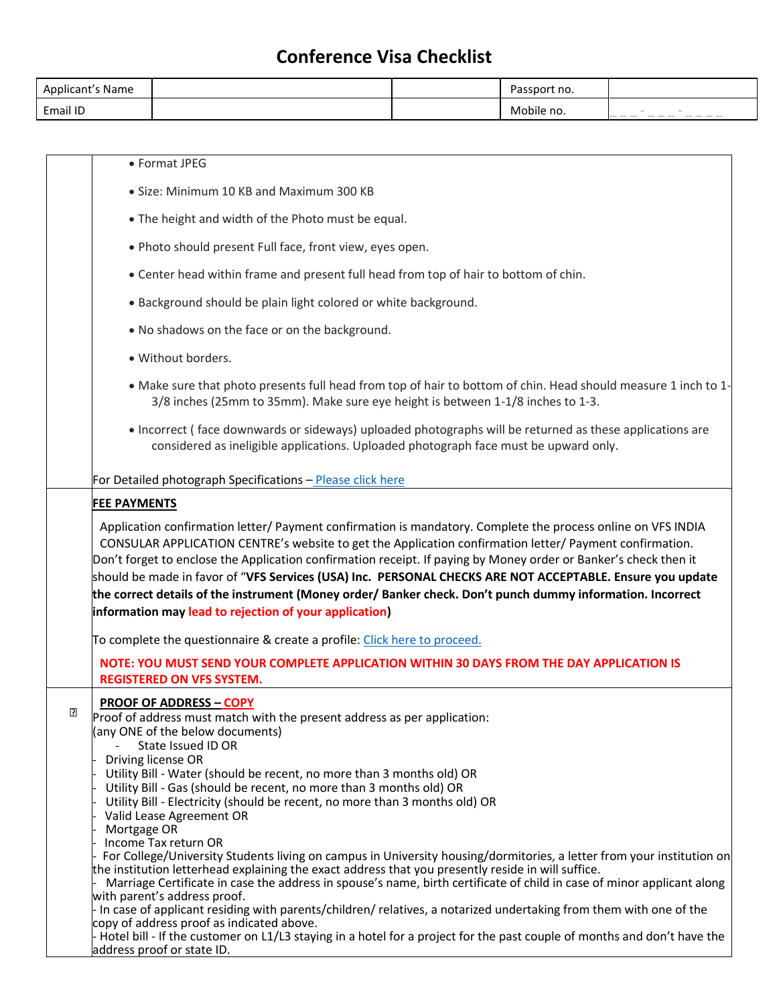| .<br>Applicant's Name |  | assport no. |                                                                                                                                                                                                                                                                                                                                                                                                                                                                                                                                                     |
|-----------------------|--|-------------|-----------------------------------------------------------------------------------------------------------------------------------------------------------------------------------------------------------------------------------------------------------------------------------------------------------------------------------------------------------------------------------------------------------------------------------------------------------------------------------------------------------------------------------------------------|
| Email ID              |  | Mobile no.  | $\sim$<br><b>STAR</b><br>____<br>$\frac{1}{2} \left( \frac{1}{2} \right) \left( \frac{1}{2} \right) \left( \frac{1}{2} \right) \left( \frac{1}{2} \right) \left( \frac{1}{2} \right) \left( \frac{1}{2} \right) \left( \frac{1}{2} \right) \left( \frac{1}{2} \right) \left( \frac{1}{2} \right) \left( \frac{1}{2} \right) \left( \frac{1}{2} \right) \left( \frac{1}{2} \right) \left( \frac{1}{2} \right) \left( \frac{1}{2} \right) \left( \frac{1}{2} \right) \left( \frac{1}{2} \right) \left( \frac$<br>__<br>$\frac{1}{2}$<br>$\frac{1}{2}$ |

|   | • Format JPEG                                                                                                                                                                                                                                                                                                                                                                                                                                                                                                                                                                                                                                                                                                                                                                                                                                                                                                                                                                                                                                           |
|---|---------------------------------------------------------------------------------------------------------------------------------------------------------------------------------------------------------------------------------------------------------------------------------------------------------------------------------------------------------------------------------------------------------------------------------------------------------------------------------------------------------------------------------------------------------------------------------------------------------------------------------------------------------------------------------------------------------------------------------------------------------------------------------------------------------------------------------------------------------------------------------------------------------------------------------------------------------------------------------------------------------------------------------------------------------|
|   |                                                                                                                                                                                                                                                                                                                                                                                                                                                                                                                                                                                                                                                                                                                                                                                                                                                                                                                                                                                                                                                         |
|   | • Size: Minimum 10 KB and Maximum 300 KB                                                                                                                                                                                                                                                                                                                                                                                                                                                                                                                                                                                                                                                                                                                                                                                                                                                                                                                                                                                                                |
|   | • The height and width of the Photo must be equal.                                                                                                                                                                                                                                                                                                                                                                                                                                                                                                                                                                                                                                                                                                                                                                                                                                                                                                                                                                                                      |
|   | . Photo should present Full face, front view, eyes open.                                                                                                                                                                                                                                                                                                                                                                                                                                                                                                                                                                                                                                                                                                                                                                                                                                                                                                                                                                                                |
|   | • Center head within frame and present full head from top of hair to bottom of chin.                                                                                                                                                                                                                                                                                                                                                                                                                                                                                                                                                                                                                                                                                                                                                                                                                                                                                                                                                                    |
|   | • Background should be plain light colored or white background.                                                                                                                                                                                                                                                                                                                                                                                                                                                                                                                                                                                                                                                                                                                                                                                                                                                                                                                                                                                         |
|   | . No shadows on the face or on the background.                                                                                                                                                                                                                                                                                                                                                                                                                                                                                                                                                                                                                                                                                                                                                                                                                                                                                                                                                                                                          |
|   | · Without borders.                                                                                                                                                                                                                                                                                                                                                                                                                                                                                                                                                                                                                                                                                                                                                                                                                                                                                                                                                                                                                                      |
|   | • Make sure that photo presents full head from top of hair to bottom of chin. Head should measure 1 inch to 1-<br>3/8 inches (25mm to 35mm). Make sure eye height is between 1-1/8 inches to 1-3.                                                                                                                                                                                                                                                                                                                                                                                                                                                                                                                                                                                                                                                                                                                                                                                                                                                       |
|   | • Incorrect (face downwards or sideways) uploaded photographs will be returned as these applications are<br>considered as ineligible applications. Uploaded photograph face must be upward only.                                                                                                                                                                                                                                                                                                                                                                                                                                                                                                                                                                                                                                                                                                                                                                                                                                                        |
|   | For Detailed photograph Specifications - Please click here                                                                                                                                                                                                                                                                                                                                                                                                                                                                                                                                                                                                                                                                                                                                                                                                                                                                                                                                                                                              |
|   | <b>FEE PAYMENTS</b>                                                                                                                                                                                                                                                                                                                                                                                                                                                                                                                                                                                                                                                                                                                                                                                                                                                                                                                                                                                                                                     |
|   | Don't forget to enclose the Application confirmation receipt. If paying by Money order or Banker's check then it<br>should be made in favor of "VFS Services (USA) Inc. PERSONAL CHECKS ARE NOT ACCEPTABLE. Ensure you update<br>the correct details of the instrument (Money order/ Banker check. Don't punch dummy information. Incorrect<br>information may lead to rejection of your application)                                                                                                                                                                                                                                                                                                                                                                                                                                                                                                                                                                                                                                                   |
|   | To complete the questionnaire & create a profile: Click here to proceed.                                                                                                                                                                                                                                                                                                                                                                                                                                                                                                                                                                                                                                                                                                                                                                                                                                                                                                                                                                                |
|   | NOTE: YOU MUST SEND YOUR COMPLETE APPLICATION WITHIN 30 DAYS FROM THE DAY APPLICATION IS<br><b>REGISTERED ON VFS SYSTEM.</b>                                                                                                                                                                                                                                                                                                                                                                                                                                                                                                                                                                                                                                                                                                                                                                                                                                                                                                                            |
| ₽ | <b>PROOF OF ADDRESS - COPY</b><br>Proof of address must match with the present address as per application:<br>(any ONE of the below documents)<br>State Issued ID OR<br>Driving license OR<br>Utility Bill - Water (should be recent, no more than 3 months old) OR<br>Utility Bill - Gas (should be recent, no more than 3 months old) OR<br>Utility Bill - Electricity (should be recent, no more than 3 months old) OR<br>Valid Lease Agreement OR<br>Mortgage OR<br>Income Tax return OR<br>For College/University Students living on campus in University housing/dormitories, a letter from your institution on<br>the institution letterhead explaining the exact address that you presently reside in will suffice.<br>Marriage Certificate in case the address in spouse's name, birth certificate of child in case of minor applicant along<br>with parent's address proof.<br>In case of applicant residing with parents/children/ relatives, a notarized undertaking from them with one of the<br>copy of address proof as indicated above. |
|   | Hotel bill - If the customer on L1/L3 staying in a hotel for a project for the past couple of months and don't have the<br>address proof or state ID.                                                                                                                                                                                                                                                                                                                                                                                                                                                                                                                                                                                                                                                                                                                                                                                                                                                                                                   |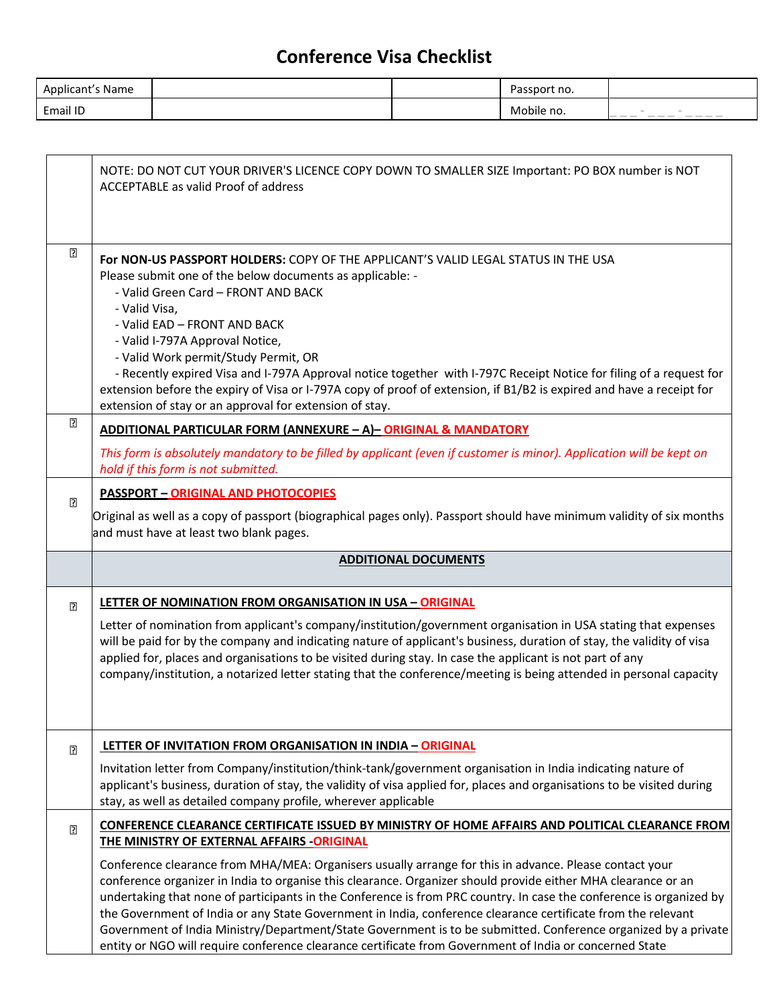| Applicant's Name |  | Passport no. |      |
|------------------|--|--------------|------|
| Email ID         |  | Mobile no.   | ____ |

|        | NOTE: DO NOT CUT YOUR DRIVER'S LICENCE COPY DOWN TO SMALLER SIZE Important: PO BOX number is NOT<br>ACCEPTABLE as valid Proof of address                                                                                                                                                                                                                                                                                                                                                                                                                                                                                                                                                    |  |  |  |
|--------|---------------------------------------------------------------------------------------------------------------------------------------------------------------------------------------------------------------------------------------------------------------------------------------------------------------------------------------------------------------------------------------------------------------------------------------------------------------------------------------------------------------------------------------------------------------------------------------------------------------------------------------------------------------------------------------------|--|--|--|
| ⊡      | <b>For NON-US PASSPORT HOLDERS: COPY OF THE APPLICANT'S VALID LEGAL STATUS IN THE USA</b><br>Please submit one of the below documents as applicable: -<br>- Valid Green Card - FRONT AND BACK<br>- Valid Visa,<br>- Valid EAD - FRONT AND BACK<br>- Valid I-797A Approval Notice,<br>- Valid Work permit/Study Permit, OR<br>- Recently expired Visa and I-797A Approval notice together with I-797C Receipt Notice for filing of a request for<br>extension before the expiry of Visa or I-797A copy of proof of extension, if B1/B2 is expired and have a receipt for<br>extension of stay or an approval for extension of stay.                                                          |  |  |  |
| P.     | ADDITIONAL PARTICULAR FORM (ANNEXURE - A) - ORIGINAL & MANDATORY                                                                                                                                                                                                                                                                                                                                                                                                                                                                                                                                                                                                                            |  |  |  |
|        | This form is absolutely mandatory to be filled by applicant (even if customer is minor). Application will be kept on<br>hold if this form is not submitted.                                                                                                                                                                                                                                                                                                                                                                                                                                                                                                                                 |  |  |  |
| $\Box$ | <b>PASSPORT - ORIGINAL AND PHOTOCOPIES</b><br>Original as well as a copy of passport (biographical pages only). Passport should have minimum validity of six months                                                                                                                                                                                                                                                                                                                                                                                                                                                                                                                         |  |  |  |
|        | and must have at least two blank pages.                                                                                                                                                                                                                                                                                                                                                                                                                                                                                                                                                                                                                                                     |  |  |  |
|        | <b>ADDITIONAL DOCUMENTS</b>                                                                                                                                                                                                                                                                                                                                                                                                                                                                                                                                                                                                                                                                 |  |  |  |
| n      | LETTER OF NOMINATION FROM ORGANISATION IN USA - ORIGINAL                                                                                                                                                                                                                                                                                                                                                                                                                                                                                                                                                                                                                                    |  |  |  |
|        | Letter of nomination from applicant's company/institution/government organisation in USA stating that expenses<br>will be paid for by the company and indicating nature of applicant's business, duration of stay, the validity of visa<br>applied for, places and organisations to be visited during stay. In case the applicant is not part of any<br>company/institution, a notarized letter stating that the conference/meeting is being attended in personal capacity                                                                                                                                                                                                                  |  |  |  |
| ⊡      | LETTER OF INVITATION FROM ORGANISATION IN INDIA - ORIGINAL                                                                                                                                                                                                                                                                                                                                                                                                                                                                                                                                                                                                                                  |  |  |  |
|        | Invitation letter from Company/institution/think-tank/government organisation in India indicating nature of<br>applicant's business, duration of stay, the validity of visa applied for, places and organisations to be visited during<br>stay, as well as detailed company profile, wherever applicable                                                                                                                                                                                                                                                                                                                                                                                    |  |  |  |
| n      | CONFERENCE CLEARANCE CERTIFICATE ISSUED BY MINISTRY OF HOME AFFAIRS AND POLITICAL CLEARANCE FROM                                                                                                                                                                                                                                                                                                                                                                                                                                                                                                                                                                                            |  |  |  |
|        | THE MINISTRY OF EXTERNAL AFFAIRS -ORIGINAL                                                                                                                                                                                                                                                                                                                                                                                                                                                                                                                                                                                                                                                  |  |  |  |
|        | Conference clearance from MHA/MEA: Organisers usually arrange for this in advance. Please contact your<br>conference organizer in India to organise this clearance. Organizer should provide either MHA clearance or an<br>undertaking that none of participants in the Conference is from PRC country. In case the conference is organized by<br>the Government of India or any State Government in India, conference clearance certificate from the relevant<br>Government of India Ministry/Department/State Government is to be submitted. Conference organized by a private<br>entity or NGO will require conference clearance certificate from Government of India or concerned State |  |  |  |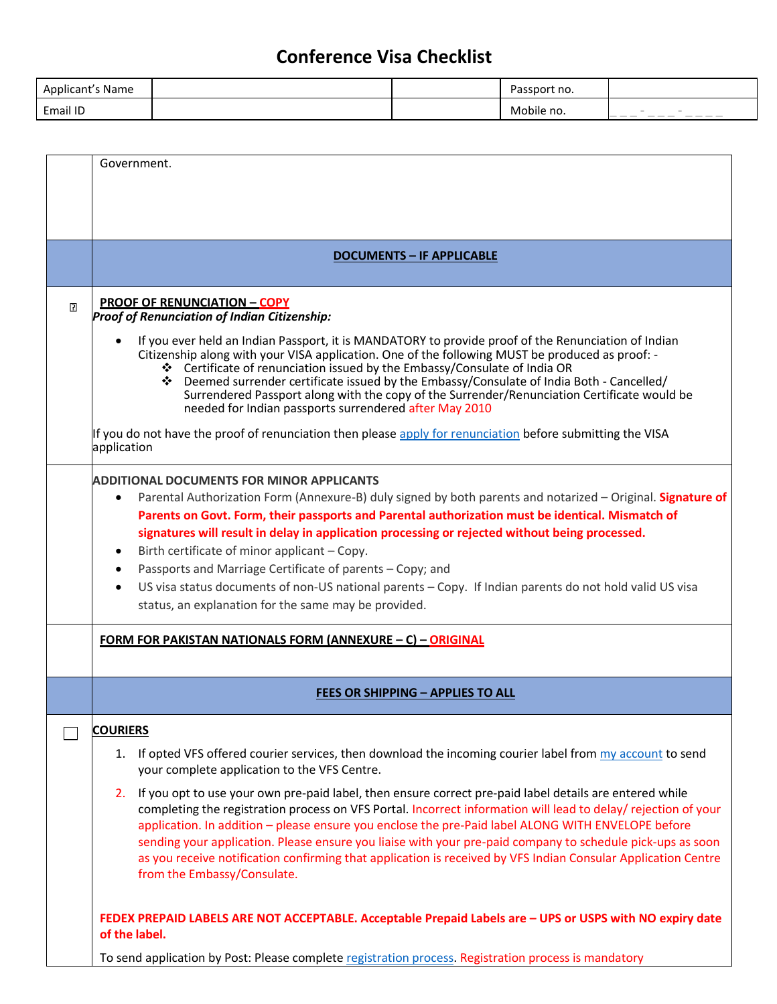| Applicant's Name |  | ssport no.        |                                                                                                                                                                                                                                                                                                                                                                                                                                                                                                                                                                                                   |
|------------------|--|-------------------|---------------------------------------------------------------------------------------------------------------------------------------------------------------------------------------------------------------------------------------------------------------------------------------------------------------------------------------------------------------------------------------------------------------------------------------------------------------------------------------------------------------------------------------------------------------------------------------------------|
| Email ID         |  | obile<br>no.<br>M | <b>COLOR</b><br><b>STAR</b><br>$\frac{1}{2} \left( \frac{1}{2} \right) \left( \frac{1}{2} \right) \left( \frac{1}{2} \right) \left( \frac{1}{2} \right) \left( \frac{1}{2} \right) \left( \frac{1}{2} \right) \left( \frac{1}{2} \right) \left( \frac{1}{2} \right) \left( \frac{1}{2} \right) \left( \frac{1}{2} \right) \left( \frac{1}{2} \right) \left( \frac{1}{2} \right) \left( \frac{1}{2} \right) \left( \frac{1}{2} \right) \left( \frac{1}{2} \right) \left( \frac{1}{2} \right) \left( \frac$<br>$\qquad \qquad \cdots \qquad \qquad \cdots$<br>$\frac{1}{2}$<br>___<br>$\frac{1}{2}$ |

|                | Government.                                                                                                                                                            |
|----------------|------------------------------------------------------------------------------------------------------------------------------------------------------------------------|
|                |                                                                                                                                                                        |
|                |                                                                                                                                                                        |
|                |                                                                                                                                                                        |
|                |                                                                                                                                                                        |
|                | <b>DOCUMENTS - IF APPLICABLE</b>                                                                                                                                       |
|                |                                                                                                                                                                        |
| $\overline{P}$ | <b>PROOF OF RENUNCIATION - COPY</b><br><b>Proof of Renunciation of Indian Citizenship:</b>                                                                             |
|                | If you ever held an Indian Passport, it is MANDATORY to provide proof of the Renunciation of Indian                                                                    |
|                | Citizenship along with your VISA application. One of the following MUST be produced as proof: -                                                                        |
|                | ❖ Certificate of renunciation issued by the Embassy/Consulate of India OR<br>❖ Deemed surrender certificate issued by the Embassy/Consulate of India Both - Cancelled/ |
|                | Surrendered Passport along with the copy of the Surrender/Renunciation Certificate would be                                                                            |
|                | needed for Indian passports surrendered after May 2010                                                                                                                 |
|                | If you do not have the proof of renunciation then please apply for renunciation before submitting the VISA                                                             |
|                | application                                                                                                                                                            |
|                | <b>ADDITIONAL DOCUMENTS FOR MINOR APPLICANTS</b>                                                                                                                       |
|                | Parental Authorization Form (Annexure-B) duly signed by both parents and notarized - Original. Signature of<br>$\bullet$                                               |
|                | Parents on Govt. Form, their passports and Parental authorization must be identical. Mismatch of                                                                       |
|                | signatures will result in delay in application processing or rejected without being processed.                                                                         |
|                | Birth certificate of minor applicant - Copy.                                                                                                                           |
|                | Passports and Marriage Certificate of parents - Copy; and                                                                                                              |
|                | US visa status documents of non-US national parents - Copy. If Indian parents do not hold valid US visa                                                                |
|                | status, an explanation for the same may be provided.                                                                                                                   |
|                | <u> FORM FOR PAKISTAN NATIONALS FORM (ANNEXURE – C) – ORIGINAL</u>                                                                                                     |
|                |                                                                                                                                                                        |
|                |                                                                                                                                                                        |
|                | <b>FEES OR SHIPPING - APPLIES TO ALL</b>                                                                                                                               |
|                | <b>COURIERS</b>                                                                                                                                                        |
|                | 1. If opted VFS offered courier services, then download the incoming courier label from my account to send                                                             |
|                | your complete application to the VFS Centre.                                                                                                                           |
|                | 2. If you opt to use your own pre-paid label, then ensure correct pre-paid label details are entered while                                                             |
|                | completing the registration process on VFS Portal. Incorrect information will lead to delay/ rejection of your                                                         |
|                | application. In addition - please ensure you enclose the pre-Paid label ALONG WITH ENVELOPE before                                                                     |
|                | sending your application. Please ensure you liaise with your pre-paid company to schedule pick-ups as soon                                                             |
|                | as you receive notification confirming that application is received by VFS Indian Consular Application Centre<br>from the Embassy/Consulate.                           |
|                |                                                                                                                                                                        |
|                | FEDEX PREPAID LABELS ARE NOT ACCEPTABLE. Acceptable Prepaid Labels are - UPS or USPS with NO expiry date                                                               |
|                | of the label.                                                                                                                                                          |
|                | To send application by Post: Please complete registration process. Registration process is mandatory                                                                   |
|                |                                                                                                                                                                        |